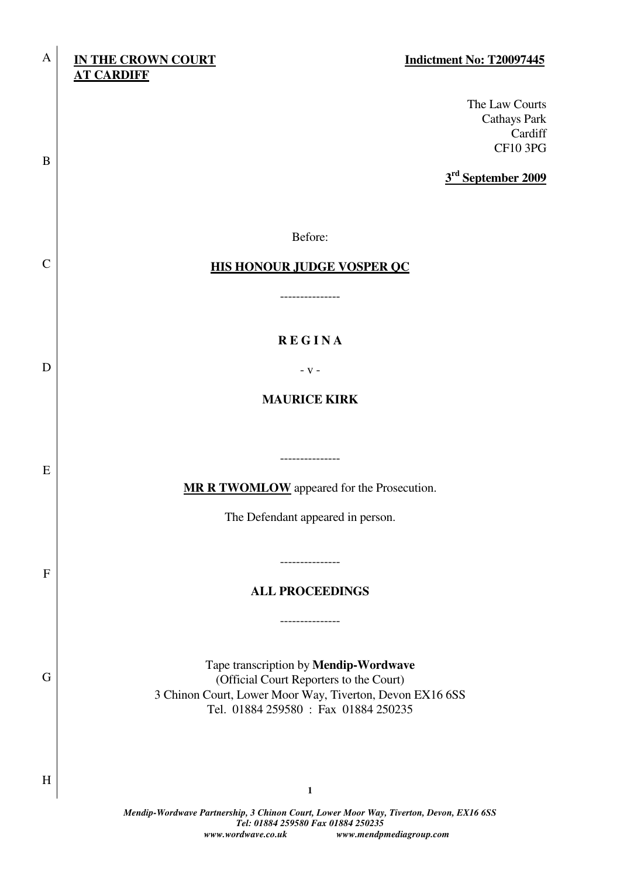| A             | <b>IN THE CROWN COURT</b><br>Indictment No: T20097445<br><b>AT CARDIFF</b>                                                                                                           |
|---------------|--------------------------------------------------------------------------------------------------------------------------------------------------------------------------------------|
| B             | The Law Courts<br>Cathays Park<br>Cardiff<br><b>CF10 3PG</b>                                                                                                                         |
|               | 3 <sup>rd</sup> September 2009                                                                                                                                                       |
|               | Before:                                                                                                                                                                              |
| $\mathcal{C}$ | <b>HIS HONOUR JUDGE VOSPER QC</b>                                                                                                                                                    |
|               | -------------                                                                                                                                                                        |
|               | <b>REGINA</b>                                                                                                                                                                        |
| D             | - V -                                                                                                                                                                                |
|               | <b>MAURICE KIRK</b>                                                                                                                                                                  |
|               |                                                                                                                                                                                      |
| E             | ---------------                                                                                                                                                                      |
|               | <b>MR R TWOMLOW</b> appeared for the Prosecution.                                                                                                                                    |
|               | The Defendant appeared in person.                                                                                                                                                    |
| $\mathbf F$   | -------------                                                                                                                                                                        |
|               | <b>ALL PROCEEDINGS</b>                                                                                                                                                               |
|               | --------------                                                                                                                                                                       |
| G             | Tape transcription by Mendip-Wordwave<br>(Official Court Reporters to the Court)<br>3 Chinon Court, Lower Moor Way, Tiverton, Devon EX16 6SS<br>Tel. 01884 259580 : Fax 01884 250235 |
|               |                                                                                                                                                                                      |
| H             | 1                                                                                                                                                                                    |
|               | Mondin-Wordwaye Partnership 3 Chinon Court Lower Moor Way, Tiverton, Devon, EX16,688                                                                                                 |

*Mendip-Wordwave Partnership, 3 Chinon Court, Lower Moor Way, Tiverton, Devon, EX16 6SS Tel: 01884 259580 Fax 01884 250235 www.wordwave.co.uk www.mendpmediagroup.com*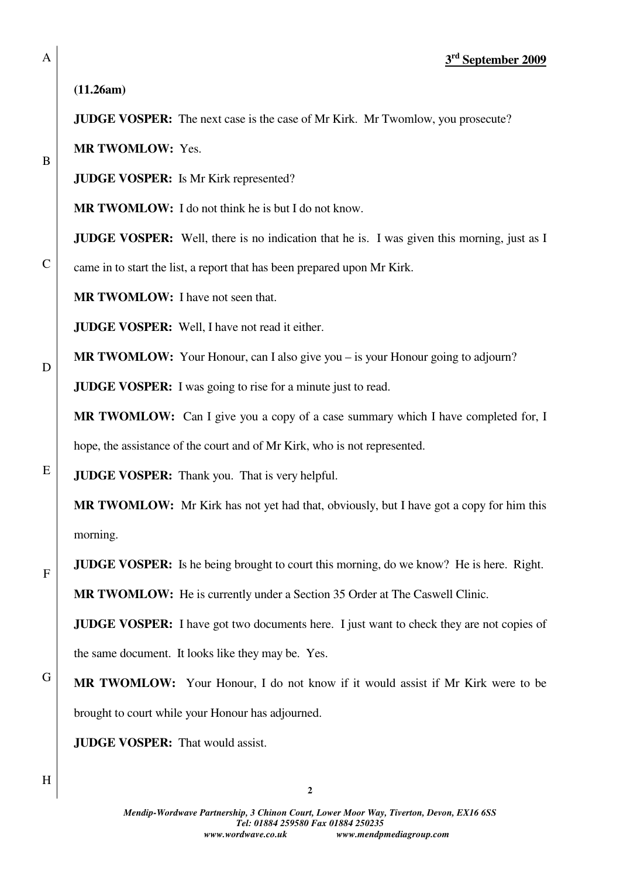**3 rd September 2009**

**(11.26am)** 

**JUDGE VOSPER:** The next case is the case of Mr Kirk. Mr Twomlow, you prosecute?

**MR TWOMLOW:** Yes.

**JUDGE VOSPER:** Is Mr Kirk represented?

**MR TWOMLOW:** I do not think he is but I do not know.

**JUDGE VOSPER:** Well, there is no indication that he is. I was given this morning, just as I

came in to start the list, a report that has been prepared upon Mr Kirk.

**MR TWOMLOW:** I have not seen that.

**JUDGE VOSPER:** Well, I have not read it either.

**MR TWOMLOW:** Your Honour, can I also give you – is your Honour going to adjourn?

**JUDGE VOSPER:** I was going to rise for a minute just to read.

**MR TWOMLOW:** Can I give you a copy of a case summary which I have completed for, I hope, the assistance of the court and of Mr Kirk, who is not represented.

**JUDGE VOSPER:** Thank you. That is very helpful.

**MR TWOMLOW:** Mr Kirk has not yet had that, obviously, but I have got a copy for him this morning.

**JUDGE VOSPER:** Is he being brought to court this morning, do we know? He is here. Right.

**MR TWOMLOW:** He is currently under a Section 35 Order at The Caswell Clinic.

**JUDGE VOSPER:** I have got two documents here. I just want to check they are not copies of the same document. It looks like they may be. Yes.

G **MR TWOMLOW:** Your Honour, I do not know if it would assist if Mr Kirk were to be brought to court while your Honour has adjourned.

**JUDGE VOSPER:** That would assist.

**2**

A

B

C

D

E

F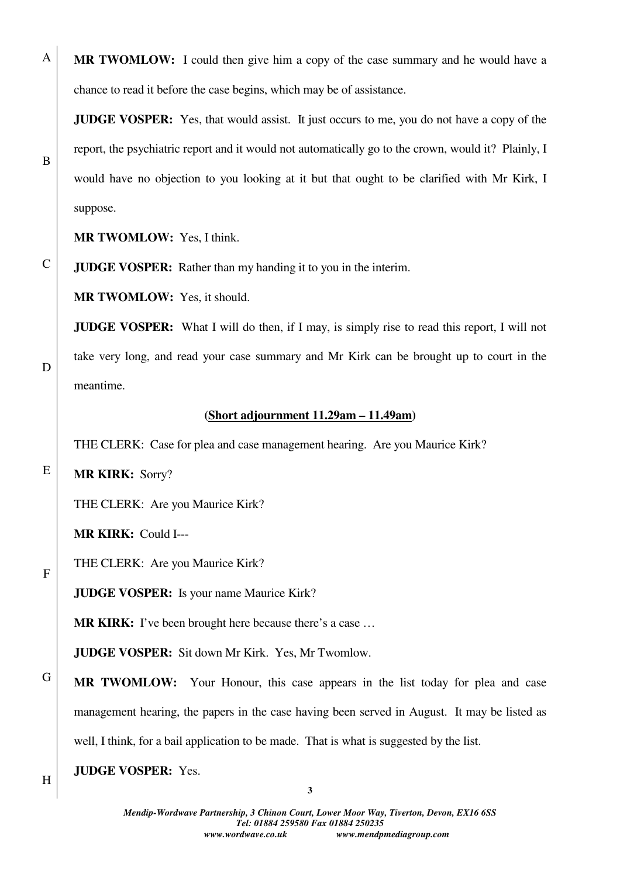**MR TWOMLOW:** I could then give him a copy of the case summary and he would have a chance to read it before the case begins, which may be of assistance.

**JUDGE VOSPER:** Yes, that would assist. It just occurs to me, you do not have a copy of the report, the psychiatric report and it would not automatically go to the crown, would it? Plainly, I would have no objection to you looking at it but that ought to be clarified with Mr Kirk, I suppose.

**MR TWOMLOW:** Yes, I think.

A

B

C

D

E

F

H

**JUDGE VOSPER:** Rather than my handing it to you in the interim.

**MR TWOMLOW:** Yes, it should.

**JUDGE VOSPER:** What I will do then, if I may, is simply rise to read this report, I will not take very long, and read your case summary and Mr Kirk can be brought up to court in the meantime.

## **(Short adjournment 11.29am – 11.49am)**

THE CLERK: Case for plea and case management hearing. Are you Maurice Kirk?

**MR KIRK:** Sorry?

THE CLERK: Are you Maurice Kirk?

**MR KIRK:** Could I---

THE CLERK: Are you Maurice Kirk?

**JUDGE VOSPER:** Is your name Maurice Kirk?

**MR KIRK:** I've been brought here because there's a case ...

**JUDGE VOSPER:** Sit down Mr Kirk. Yes, Mr Twomlow.

G **MR TWOMLOW:** Your Honour, this case appears in the list today for plea and case management hearing, the papers in the case having been served in August. It may be listed as well, I think, for a bail application to be made. That is what is suggested by the list.

**JUDGE VOSPER:** Yes.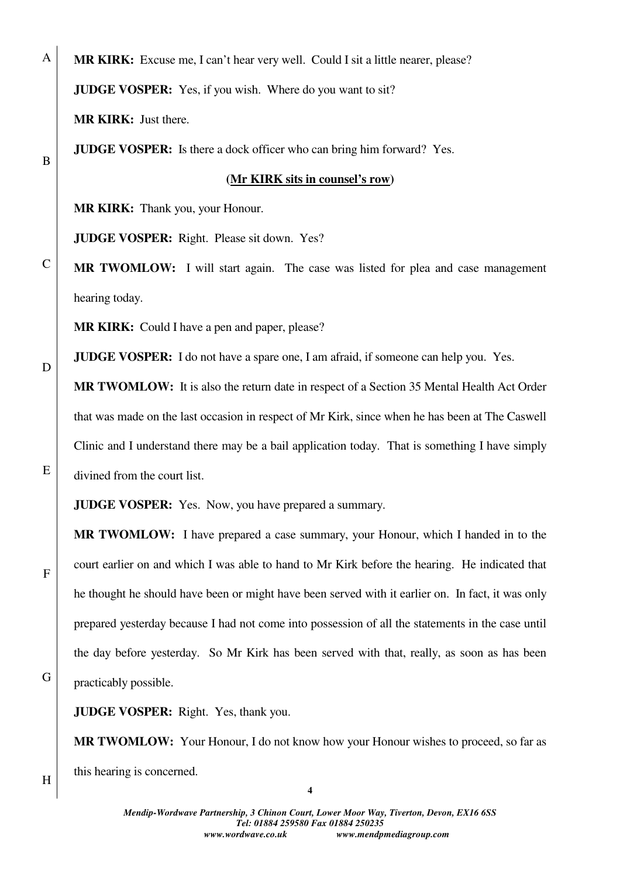**MR KIRK:** Excuse me, I can't hear very well. Could I sit a little nearer, please? **JUDGE VOSPER:** Yes, if you wish. Where do you want to sit?

**MR KIRK:** Just there.

A

B

C

D

E

F

**JUDGE VOSPER:** Is there a dock officer who can bring him forward? Yes.

## **(Mr KIRK sits in counsel's row)**

**MR KIRK:** Thank you, your Honour.

**JUDGE VOSPER:** Right. Please sit down. Yes?

**MR TWOMLOW:** I will start again. The case was listed for plea and case management hearing today.

**MR KIRK:** Could I have a pen and paper, please?

**JUDGE VOSPER:** I do not have a spare one, I am afraid, if someone can help you. Yes.

**MR TWOMLOW:** It is also the return date in respect of a Section 35 Mental Health Act Order that was made on the last occasion in respect of Mr Kirk, since when he has been at The Caswell Clinic and I understand there may be a bail application today. That is something I have simply divined from the court list.

**JUDGE VOSPER:** Yes. Now, you have prepared a summary.

**MR TWOMLOW:** I have prepared a case summary, your Honour, which I handed in to the court earlier on and which I was able to hand to Mr Kirk before the hearing. He indicated that he thought he should have been or might have been served with it earlier on. In fact, it was only prepared yesterday because I had not come into possession of all the statements in the case until the day before yesterday. So Mr Kirk has been served with that, really, as soon as has been practicably possible.

G

**JUDGE VOSPER:** Right. Yes, thank you.

**MR TWOMLOW:** Your Honour, I do not know how your Honour wishes to proceed, so far as this hearing is concerned.

H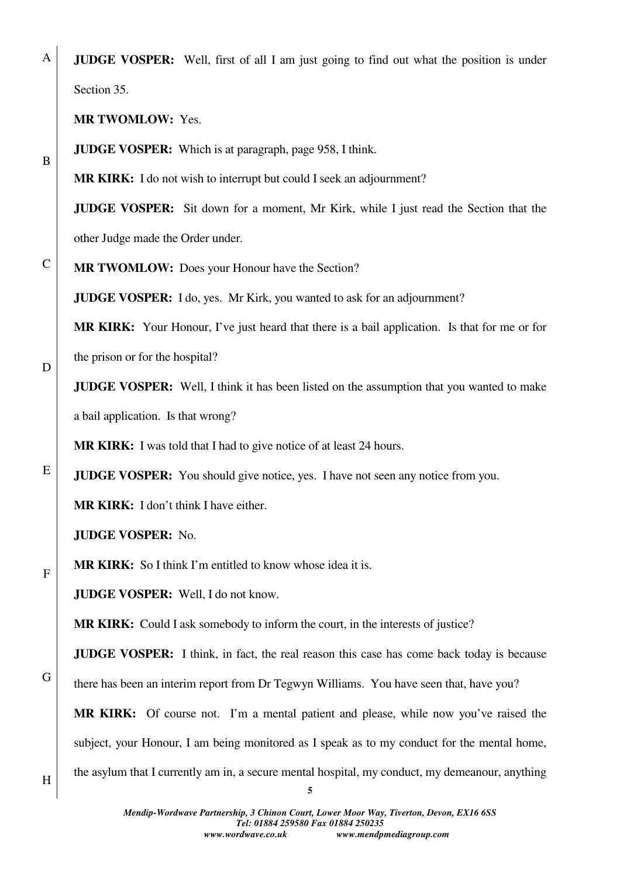A **JUDGE VOSPER:** Well, first of all I am just going to find out what the position is under Section 35.

**MR TWOMLOW:** Yes.

B

C

D

E

F

**JUDGE VOSPER:** Which is at paragraph, page 958, I think.

**MR KIRK:** I do not wish to interrupt but could I seek an adjournment?

**JUDGE VOSPER:** Sit down for a moment, Mr Kirk, while I just read the Section that the other Judge made the Order under.

**MR TWOMLOW:** Does your Honour have the Section?

**JUDGE VOSPER:** I do, yes. Mr Kirk, you wanted to ask for an adjournment?

**MR KIRK:** Your Honour, I've just heard that there is a bail application. Is that for me or for the prison or for the hospital?

**JUDGE VOSPER:** Well, I think it has been listed on the assumption that you wanted to make a bail application. Is that wrong?

**MR KIRK:** I was told that I had to give notice of at least 24 hours.

**JUDGE VOSPER:** You should give notice, yes. I have not seen any notice from you.

**MR KIRK:** I don't think I have either.

**JUDGE VOSPER:** No.

**MR KIRK:** So I think I'm entitled to know whose idea it is.

**JUDGE VOSPER:** Well, I do not know.

**MR KIRK:** Could I ask somebody to inform the court, in the interests of justice?

**JUDGE VOSPER:** I think, in fact, the real reason this case has come back today is because

there has been an interim report from Dr Tegwyn Williams. You have seen that, have you?

**MR KIRK:** Of course not. I'm a mental patient and please, while now you've raised the subject, your Honour, I am being monitored as I speak as to my conduct for the mental home, the asylum that I currently am in, a secure mental hospital, my conduct, my demeanour, anything

H

G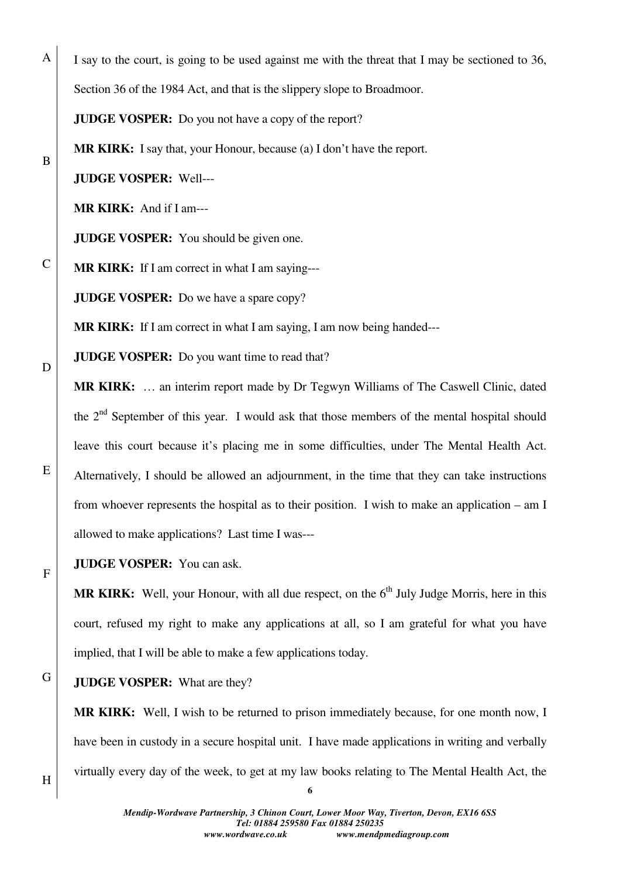I say to the court, is going to be used against me with the threat that I may be sectioned to 36,

Section 36 of the 1984 Act, and that is the slippery slope to Broadmoor.

**JUDGE VOSPER:** Do you not have a copy of the report?

**MR KIRK:** I say that, your Honour, because (a) I don't have the report.

**JUDGE VOSPER:** Well---

A

B

C

D

E

F

**MR KIRK:** And if I am---

**JUDGE VOSPER:** You should be given one.

**MR KIRK:** If I am correct in what I am saying---

**JUDGE VOSPER:** Do we have a spare copy?

**MR KIRK:** If I am correct in what I am saying, I am now being handed---

**JUDGE VOSPER:** Do you want time to read that?

**MR KIRK:** … an interim report made by Dr Tegwyn Williams of The Caswell Clinic, dated the  $2<sup>nd</sup>$  September of this year. I would ask that those members of the mental hospital should leave this court because it's placing me in some difficulties, under The Mental Health Act. Alternatively, I should be allowed an adjournment, in the time that they can take instructions from whoever represents the hospital as to their position. I wish to make an application – am I allowed to make applications? Last time I was---

**JUDGE VOSPER:** You can ask.

MR KIRK: Well, your Honour, with all due respect, on the 6<sup>th</sup> July Judge Morris, here in this court, refused my right to make any applications at all, so I am grateful for what you have implied, that I will be able to make a few applications today.

## G **JUDGE VOSPER:** What are they?

**MR KIRK:** Well, I wish to be returned to prison immediately because, for one month now, I have been in custody in a secure hospital unit. I have made applications in writing and verbally virtually every day of the week, to get at my law books relating to The Mental Health Act, the

H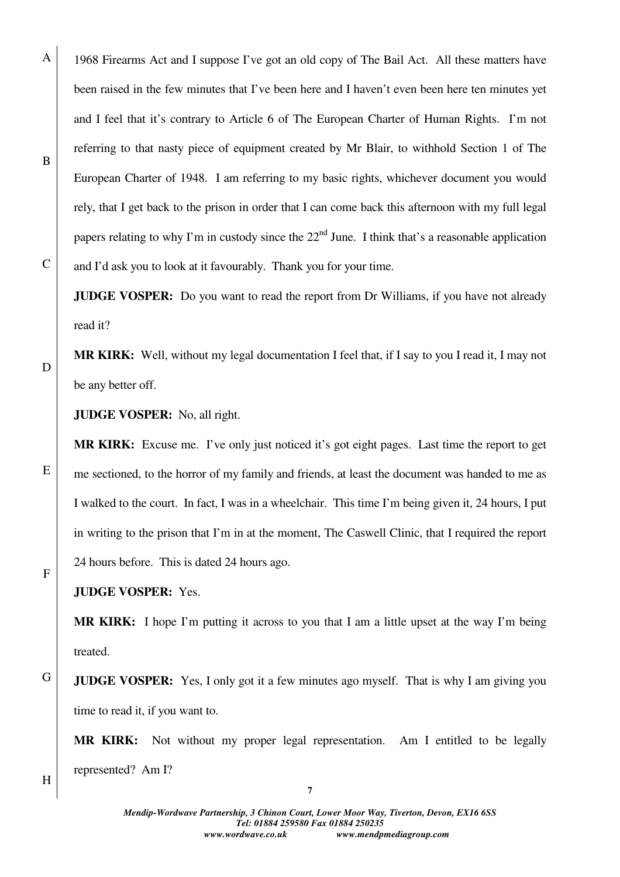1968 Firearms Act and I suppose I've got an old copy of The Bail Act. All these matters have been raised in the few minutes that I've been here and I haven't even been here ten minutes yet and I feel that it's contrary to Article 6 of The European Charter of Human Rights. I'm not referring to that nasty piece of equipment created by Mr Blair, to withhold Section 1 of The European Charter of 1948. I am referring to my basic rights, whichever document you would rely, that I get back to the prison in order that I can come back this afternoon with my full legal papers relating to why I'm in custody since the  $22<sup>nd</sup>$  June. I think that's a reasonable application and I'd ask you to look at it favourably. Thank you for your time.

**JUDGE VOSPER:** Do you want to read the report from Dr Williams, if you have not already read it?

**MR KIRK:** Well, without my legal documentation I feel that, if I say to you I read it, I may not be any better off.

**JUDGE VOSPER:** No, all right.

**MR KIRK:** Excuse me. I've only just noticed it's got eight pages. Last time the report to get me sectioned, to the horror of my family and friends, at least the document was handed to me as I walked to the court. In fact, I was in a wheelchair. This time I'm being given it, 24 hours, I put in writing to the prison that I'm in at the moment, The Caswell Clinic, that I required the report 24 hours before. This is dated 24 hours ago.

**JUDGE VOSPER:** Yes.

**MR KIRK:** I hope I'm putting it across to you that I am a little upset at the way I'm being treated.

G **JUDGE VOSPER:** Yes, I only got it a few minutes ago myself. That is why I am giving you time to read it, if you want to.

**MR KIRK:** Not without my proper legal representation. Am I entitled to be legally represented? Am I?

H

A

B

C

D

E

F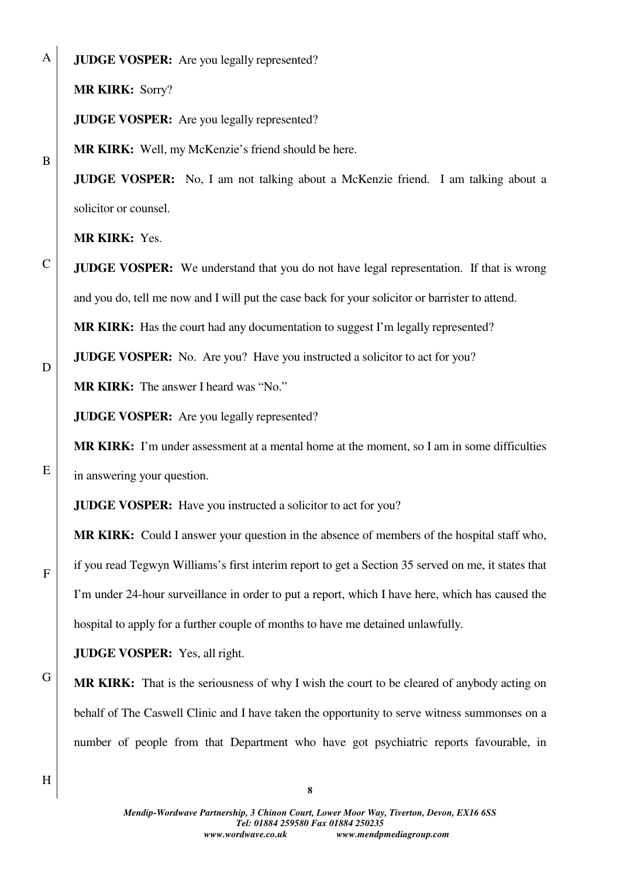A

B

C

D

E

F

**JUDGE VOSPER:** Are you legally represented?

**MR KIRK:** Sorry?

**JUDGE VOSPER:** Are you legally represented?

**MR KIRK:** Well, my McKenzie's friend should be here.

**JUDGE VOSPER:** No, I am not talking about a McKenzie friend. I am talking about a solicitor or counsel.

**MR KIRK:** Yes.

**JUDGE VOSPER:** We understand that you do not have legal representation. If that is wrong and you do, tell me now and I will put the case back for your solicitor or barrister to attend.

**MR KIRK:** Has the court had any documentation to suggest I'm legally represented?

**JUDGE VOSPER:** No. Are you? Have you instructed a solicitor to act for you?

**MR KIRK:** The answer I heard was "No."

**JUDGE VOSPER:** Are you legally represented?

**MR KIRK:** I'm under assessment at a mental home at the moment, so I am in some difficulties in answering your question.

**JUDGE VOSPER:** Have you instructed a solicitor to act for you?

**MR KIRK:** Could I answer your question in the absence of members of the hospital staff who, if you read Tegwyn Williams's first interim report to get a Section 35 served on me, it states that I'm under 24-hour surveillance in order to put a report, which I have here, which has caused the hospital to apply for a further couple of months to have me detained unlawfully.

**JUDGE VOSPER:** Yes, all right.

**MR KIRK:** That is the seriousness of why I wish the court to be cleared of anybody acting on behalf of The Caswell Clinic and I have taken the opportunity to serve witness summonses on a number of people from that Department who have got psychiatric reports favourable, in

H

G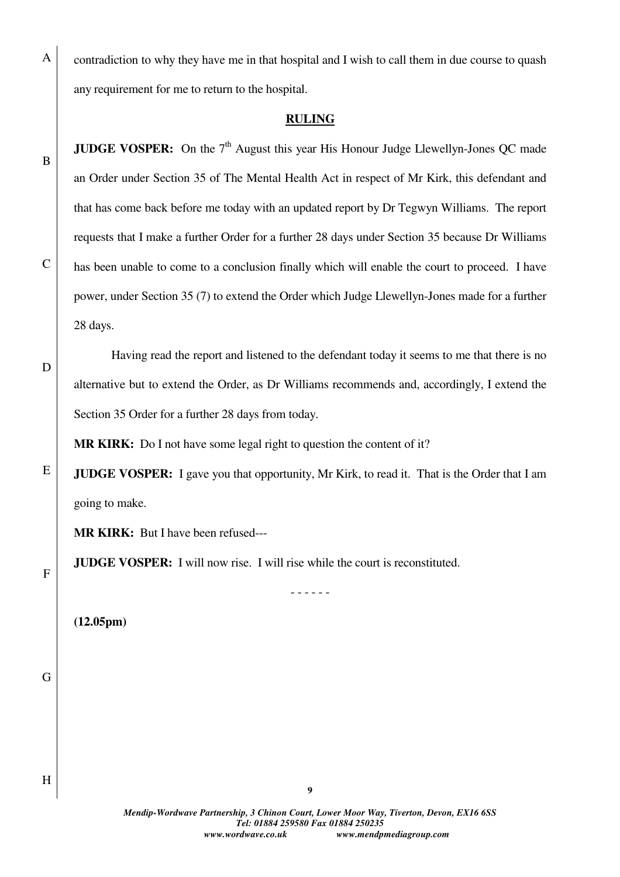contradiction to why they have me in that hospital and I wish to call them in due course to quash any requirement for me to return to the hospital.

## **RULING**

**JUDGE VOSPER:** On the 7<sup>th</sup> August this year His Honour Judge Llewellyn-Jones OC made an Order under Section 35 of The Mental Health Act in respect of Mr Kirk, this defendant and that has come back before me today with an updated report by Dr Tegwyn Williams. The report requests that I make a further Order for a further 28 days under Section 35 because Dr Williams has been unable to come to a conclusion finally which will enable the court to proceed. I have power, under Section 35 (7) to extend the Order which Judge Llewellyn-Jones made for a further 28 days.

 Having read the report and listened to the defendant today it seems to me that there is no alternative but to extend the Order, as Dr Williams recommends and, accordingly, I extend the Section 35 Order for a further 28 days from today.

**MR KIRK:** Do I not have some legal right to question the content of it?

**JUDGE VOSPER:** I gave you that opportunity, Mr Kirk, to read it. That is the Order that I am going to make.

**MR KIRK:** But I have been refused---

**JUDGE VOSPER:** I will now rise. I will rise while the court is reconstituted.

- - - - - -

**(12.05pm)**

G

H

A

B

C

D

E

F